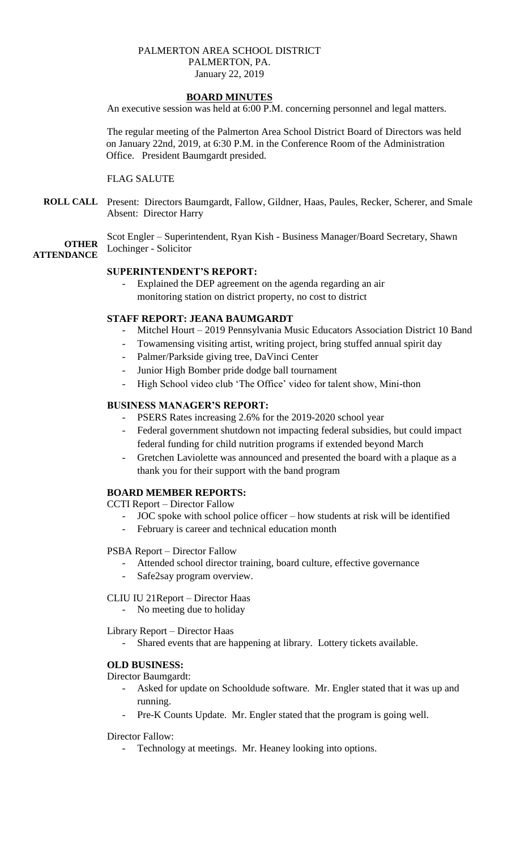### PALMERTON AREA SCHOOL DISTRICT PALMERTON, PA. January 22, 2019

# **BOARD MINUTES**

An executive session was held at 6:00 P.M. concerning personnel and legal matters.

The regular meeting of the Palmerton Area School District Board of Directors was held on January 22nd, 2019, at 6:30 P.M. in the Conference Room of the Administration Office. President Baumgardt presided.

#### FLAG SALUTE

**ROLL CALL** Present: Directors Baumgardt, Fallow, Gildner, Haas, Paules, Recker, Scherer, and Smale Absent: Director Harry

**OTHER** Scot Engler – Superintendent, Ryan Kish - Business Manager/Board Secretary, Shawn Lochinger - Solicitor

# **ATTENDANCE**

## **SUPERINTENDENT'S REPORT:**

Explained the DEP agreement on the agenda regarding an air monitoring station on district property, no cost to district

### **STAFF REPORT: JEANA BAUMGARDT**

- Mitchel Hourt 2019 Pennsylvania Music Educators Association District 10 Band
- Towamensing visiting artist, writing project, bring stuffed annual spirit day
- Palmer/Parkside giving tree, DaVinci Center
- Junior High Bomber pride dodge ball tournament
- High School video club 'The Office' video for talent show, Mini-thon

#### **BUSINESS MANAGER'S REPORT:**

- PSERS Rates increasing 2.6% for the 2019-2020 school year
- Federal government shutdown not impacting federal subsidies, but could impact federal funding for child nutrition programs if extended beyond March
- Gretchen Laviolette was announced and presented the board with a plaque as a thank you for their support with the band program

#### **BOARD MEMBER REPORTS:**

CCTI Report – Director Fallow

- JOC spoke with school police officer how students at risk will be identified
- February is career and technical education month

#### PSBA Report – Director Fallow

- Attended school director training, board culture, effective governance
- Safe2say program overview.

#### CLIU IU 21Report – Director Haas

- No meeting due to holiday

Library Report – Director Haas

- Shared events that are happening at library. Lottery tickets available.

#### **OLD BUSINESS:**

Director Baumgardt:

- Asked for update on Schooldude software. Mr. Engler stated that it was up and running.
- Pre-K Counts Update. Mr. Engler stated that the program is going well.

#### Director Fallow:

Technology at meetings. Mr. Heaney looking into options.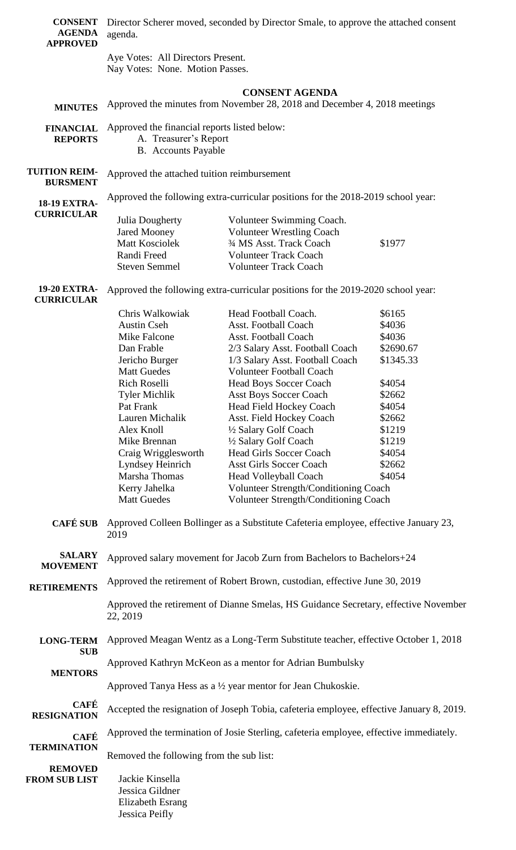| <b>CONSENT</b><br><b>AGENDA</b><br><b>APPROVED</b>                        | Director Scherer moved, seconded by Director Smale, to approve the attached consent<br>agenda.                                                                                                                                                                                                                               |                                                                                                                                                                                                                                                                                                                                                                                                                                                                                                                                                                                                                                                                                                                                                                                                                                                                                                      |                                                                                                                                                |  |  |
|---------------------------------------------------------------------------|------------------------------------------------------------------------------------------------------------------------------------------------------------------------------------------------------------------------------------------------------------------------------------------------------------------------------|------------------------------------------------------------------------------------------------------------------------------------------------------------------------------------------------------------------------------------------------------------------------------------------------------------------------------------------------------------------------------------------------------------------------------------------------------------------------------------------------------------------------------------------------------------------------------------------------------------------------------------------------------------------------------------------------------------------------------------------------------------------------------------------------------------------------------------------------------------------------------------------------------|------------------------------------------------------------------------------------------------------------------------------------------------|--|--|
|                                                                           | Aye Votes: All Directors Present.<br>Nay Votes: None. Motion Passes.                                                                                                                                                                                                                                                         |                                                                                                                                                                                                                                                                                                                                                                                                                                                                                                                                                                                                                                                                                                                                                                                                                                                                                                      |                                                                                                                                                |  |  |
|                                                                           |                                                                                                                                                                                                                                                                                                                              |                                                                                                                                                                                                                                                                                                                                                                                                                                                                                                                                                                                                                                                                                                                                                                                                                                                                                                      |                                                                                                                                                |  |  |
| <b>MINUTES</b>                                                            | <b>CONSENT AGENDA</b><br>Approved the minutes from November 28, 2018 and December 4, 2018 meetings                                                                                                                                                                                                                           |                                                                                                                                                                                                                                                                                                                                                                                                                                                                                                                                                                                                                                                                                                                                                                                                                                                                                                      |                                                                                                                                                |  |  |
| <b>FINANCIAL</b><br><b>REPORTS</b>                                        | Approved the financial reports listed below:<br>A. Treasurer's Report<br><b>B.</b> Accounts Payable                                                                                                                                                                                                                          |                                                                                                                                                                                                                                                                                                                                                                                                                                                                                                                                                                                                                                                                                                                                                                                                                                                                                                      |                                                                                                                                                |  |  |
| <b>TUITION REIM-</b><br><b>BURSMENT</b>                                   | Approved the attached tuition reimbursement                                                                                                                                                                                                                                                                                  |                                                                                                                                                                                                                                                                                                                                                                                                                                                                                                                                                                                                                                                                                                                                                                                                                                                                                                      |                                                                                                                                                |  |  |
| <b>18-19 EXTRA-</b>                                                       | Approved the following extra-curricular positions for the 2018-2019 school year:                                                                                                                                                                                                                                             |                                                                                                                                                                                                                                                                                                                                                                                                                                                                                                                                                                                                                                                                                                                                                                                                                                                                                                      |                                                                                                                                                |  |  |
| <b>CURRICULAR</b>                                                         | Julia Dougherty<br><b>Jared Mooney</b><br>Matt Kosciolek<br>Randi Freed<br><b>Steven Semmel</b>                                                                                                                                                                                                                              | Volunteer Swimming Coach.<br><b>Volunteer Wrestling Coach</b><br>3/4 MS Asst. Track Coach<br>Volunteer Track Coach<br><b>Volunteer Track Coach</b>                                                                                                                                                                                                                                                                                                                                                                                                                                                                                                                                                                                                                                                                                                                                                   | \$1977                                                                                                                                         |  |  |
| <b>19-20 EXTRA-</b><br><b>CURRICULAR</b>                                  | Approved the following extra-curricular positions for the 2019-2020 school year:                                                                                                                                                                                                                                             |                                                                                                                                                                                                                                                                                                                                                                                                                                                                                                                                                                                                                                                                                                                                                                                                                                                                                                      |                                                                                                                                                |  |  |
| <b>CAFÉ SUB</b><br><b>SALARY</b><br><b>MOVEMENT</b><br><b>RETIREMENTS</b> | Chris Walkowiak<br><b>Austin Cseh</b><br>Mike Falcone<br>Dan Frable<br>Jericho Burger<br><b>Matt Guedes</b><br>Rich Roselli<br><b>Tyler Michlik</b><br>Pat Frank<br>Lauren Michalik<br>Alex Knoll<br>Mike Brennan<br>Craig Wrigglesworth<br>Lyndsey Heinrich<br>Marsha Thomas<br>Kerry Jahelka<br><b>Matt Guedes</b><br>2019 | Head Football Coach.<br><b>Asst. Football Coach</b><br><b>Asst. Football Coach</b><br>2/3 Salary Asst. Football Coach<br>1/3 Salary Asst. Football Coach<br><b>Volunteer Football Coach</b><br><b>Head Boys Soccer Coach</b><br><b>Asst Boys Soccer Coach</b><br><b>Head Field Hockey Coach</b><br>Asst. Field Hockey Coach<br>1/2 Salary Golf Coach<br>1/2 Salary Golf Coach<br><b>Head Girls Soccer Coach</b><br><b>Asst Girls Soccer Coach</b><br>Head Volleyball Coach<br>Volunteer Strength/Conditioning Coach<br>Volunteer Strength/Conditioning Coach<br>Approved Colleen Bollinger as a Substitute Cafeteria employee, effective January 23,<br>Approved salary movement for Jacob Zurn from Bachelors to Bachelors+24<br>Approved the retirement of Robert Brown, custodian, effective June 30, 2019<br>Approved the retirement of Dianne Smelas, HS Guidance Secretary, effective November | \$6165<br>\$4036<br>\$4036<br>\$2690.67<br>\$1345.33<br>\$4054<br>\$2662<br>\$4054<br>\$2662<br>\$1219<br>\$1219<br>\$4054<br>\$2662<br>\$4054 |  |  |
| <b>LONG-TERM</b>                                                          | 22, 2019<br>Approved Meagan Wentz as a Long-Term Substitute teacher, effective October 1, 2018                                                                                                                                                                                                                               |                                                                                                                                                                                                                                                                                                                                                                                                                                                                                                                                                                                                                                                                                                                                                                                                                                                                                                      |                                                                                                                                                |  |  |
| <b>SUB</b>                                                                | Approved Kathryn McKeon as a mentor for Adrian Bumbulsky                                                                                                                                                                                                                                                                     |                                                                                                                                                                                                                                                                                                                                                                                                                                                                                                                                                                                                                                                                                                                                                                                                                                                                                                      |                                                                                                                                                |  |  |
| <b>MENTORS</b>                                                            | Approved Tanya Hess as a 1/2 year mentor for Jean Chukoskie.                                                                                                                                                                                                                                                                 |                                                                                                                                                                                                                                                                                                                                                                                                                                                                                                                                                                                                                                                                                                                                                                                                                                                                                                      |                                                                                                                                                |  |  |
| <b>CAFÉ</b><br><b>RESIGNATION</b>                                         | Accepted the resignation of Joseph Tobia, cafeteria employee, effective January 8, 2019.                                                                                                                                                                                                                                     |                                                                                                                                                                                                                                                                                                                                                                                                                                                                                                                                                                                                                                                                                                                                                                                                                                                                                                      |                                                                                                                                                |  |  |
| <b>CAFÉ</b>                                                               | Approved the termination of Josie Sterling, cafeteria employee, effective immediately.                                                                                                                                                                                                                                       |                                                                                                                                                                                                                                                                                                                                                                                                                                                                                                                                                                                                                                                                                                                                                                                                                                                                                                      |                                                                                                                                                |  |  |
| <b>TERMINATION</b><br><b>REMOVED</b><br><b>FROM SUB LIST</b>              | Removed the following from the sub list:                                                                                                                                                                                                                                                                                     |                                                                                                                                                                                                                                                                                                                                                                                                                                                                                                                                                                                                                                                                                                                                                                                                                                                                                                      |                                                                                                                                                |  |  |
|                                                                           | Jackie Kinsella<br>Jessica Gildner<br>Elizabeth Esrang<br>Jessica Peifly                                                                                                                                                                                                                                                     |                                                                                                                                                                                                                                                                                                                                                                                                                                                                                                                                                                                                                                                                                                                                                                                                                                                                                                      |                                                                                                                                                |  |  |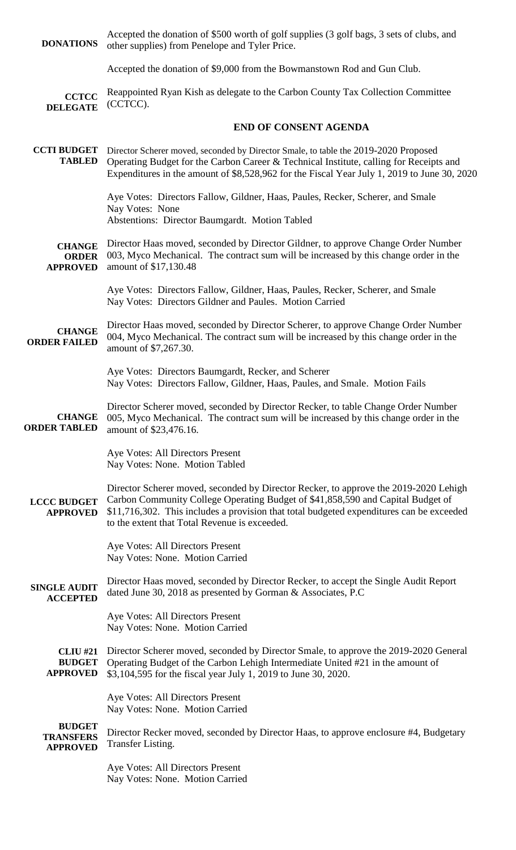| <b>DONATIONS</b>                                     | Accepted the donation of \$500 worth of golf supplies (3 golf bags, 3 sets of clubs, and<br>other supplies) from Penelope and Tyler Price.                                                                                                                                                                           |  |  |  |  |
|------------------------------------------------------|----------------------------------------------------------------------------------------------------------------------------------------------------------------------------------------------------------------------------------------------------------------------------------------------------------------------|--|--|--|--|
|                                                      | Accepted the donation of \$9,000 from the Bowmanstown Rod and Gun Club.                                                                                                                                                                                                                                              |  |  |  |  |
| <b>CCTCC</b><br><b>DELEGATE</b>                      | Reappointed Ryan Kish as delegate to the Carbon County Tax Collection Committee<br>(CCTCC).                                                                                                                                                                                                                          |  |  |  |  |
|                                                      | <b>END OF CONSENT AGENDA</b>                                                                                                                                                                                                                                                                                         |  |  |  |  |
| <b>CCTI BUDGET</b><br><b>TABLED</b>                  | Director Scherer moved, seconded by Director Smale, to table the 2019-2020 Proposed<br>Operating Budget for the Carbon Career & Technical Institute, calling for Receipts and<br>Expenditures in the amount of \$8,528,962 for the Fiscal Year July 1, 2019 to June 30, 2020.                                        |  |  |  |  |
|                                                      | Aye Votes: Directors Fallow, Gildner, Haas, Paules, Recker, Scherer, and Smale<br>Nay Votes: None<br>Abstentions: Director Baumgardt. Motion Tabled                                                                                                                                                                  |  |  |  |  |
| <b>CHANGE</b><br><b>ORDER</b><br><b>APPROVED</b>     | Director Haas moved, seconded by Director Gildner, to approve Change Order Number<br>003, Myco Mechanical. The contract sum will be increased by this change order in the<br>amount of \$17,130.48                                                                                                                   |  |  |  |  |
|                                                      | Aye Votes: Directors Fallow, Gildner, Haas, Paules, Recker, Scherer, and Smale<br>Nay Votes: Directors Gildner and Paules. Motion Carried                                                                                                                                                                            |  |  |  |  |
| <b>CHANGE</b><br><b>ORDER FAILED</b>                 | Director Haas moved, seconded by Director Scherer, to approve Change Order Number<br>004, Myco Mechanical. The contract sum will be increased by this change order in the<br>amount of \$7,267.30.                                                                                                                   |  |  |  |  |
|                                                      | Aye Votes: Directors Baumgardt, Recker, and Scherer<br>Nay Votes: Directors Fallow, Gildner, Haas, Paules, and Smale. Motion Fails                                                                                                                                                                                   |  |  |  |  |
| <b>CHANGE</b><br><b>ORDER TABLED</b>                 | Director Scherer moved, seconded by Director Recker, to table Change Order Number<br>005, Myco Mechanical. The contract sum will be increased by this change order in the<br>amount of \$23,476.16.                                                                                                                  |  |  |  |  |
|                                                      | Aye Votes: All Directors Present<br>Nay Votes: None. Motion Tabled                                                                                                                                                                                                                                                   |  |  |  |  |
| <b>LCCC BUDGET</b><br><b>APPROVED</b>                | Director Scherer moved, seconded by Director Recker, to approve the 2019-2020 Lehigh<br>Carbon Community College Operating Budget of \$41,858,590 and Capital Budget of<br>\$11,716,302. This includes a provision that total budgeted expenditures can be exceeded<br>to the extent that Total Revenue is exceeded. |  |  |  |  |
|                                                      | Aye Votes: All Directors Present<br>Nay Votes: None. Motion Carried                                                                                                                                                                                                                                                  |  |  |  |  |
| <b>SINGLE AUDIT</b><br><b>ACCEPTED</b>               | Director Haas moved, seconded by Director Recker, to accept the Single Audit Report<br>dated June 30, 2018 as presented by Gorman & Associates, P.C.                                                                                                                                                                 |  |  |  |  |
|                                                      | Aye Votes: All Directors Present<br>Nay Votes: None. Motion Carried                                                                                                                                                                                                                                                  |  |  |  |  |
| <b>CLIU #21</b><br><b>BUDGET</b><br><b>APPROVED</b>  | Director Scherer moved, seconded by Director Smale, to approve the 2019-2020 General<br>Operating Budget of the Carbon Lehigh Intermediate United #21 in the amount of<br>\$3,104,595 for the fiscal year July 1, 2019 to June 30, 2020.                                                                             |  |  |  |  |
|                                                      | Aye Votes: All Directors Present<br>Nay Votes: None. Motion Carried                                                                                                                                                                                                                                                  |  |  |  |  |
| <b>BUDGET</b><br><b>TRANSFERS</b><br><b>APPROVED</b> | Director Recker moved, seconded by Director Haas, to approve enclosure #4, Budgetary<br>Transfer Listing.                                                                                                                                                                                                            |  |  |  |  |
|                                                      | Aye Votes: All Directors Present                                                                                                                                                                                                                                                                                     |  |  |  |  |

Nay Votes: None. Motion Carried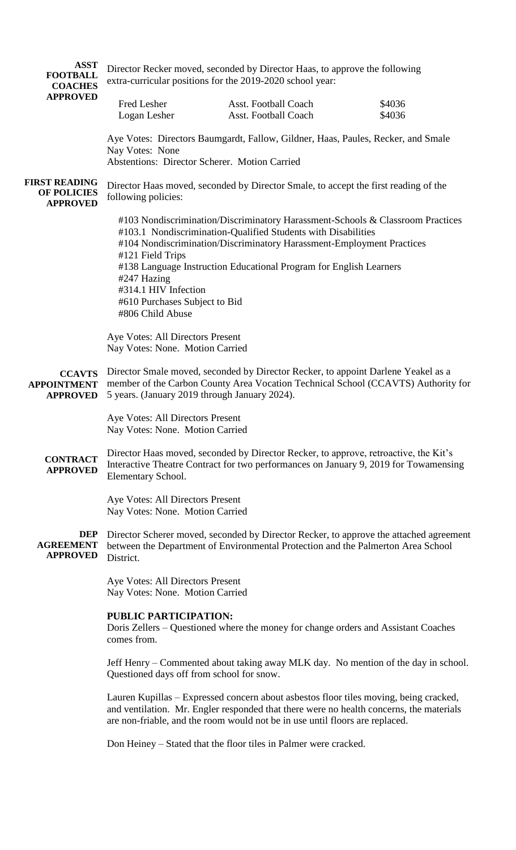| <b>ASST</b><br><b>FOOTBALL</b><br><b>COACHES</b>       | Director Recker moved, seconded by Director Haas, to approve the following<br>extra-curricular positions for the 2019-2020 school year:                                                                                                                                                                                                                                                                                                                                                                                                                                                                      |                                                     |                  |  |  |
|--------------------------------------------------------|--------------------------------------------------------------------------------------------------------------------------------------------------------------------------------------------------------------------------------------------------------------------------------------------------------------------------------------------------------------------------------------------------------------------------------------------------------------------------------------------------------------------------------------------------------------------------------------------------------------|-----------------------------------------------------|------------------|--|--|
| <b>APPROVED</b>                                        | Fred Lesher<br>Logan Lesher                                                                                                                                                                                                                                                                                                                                                                                                                                                                                                                                                                                  | Asst. Football Coach<br><b>Asst. Football Coach</b> | \$4036<br>\$4036 |  |  |
|                                                        | Aye Votes: Directors Baumgardt, Fallow, Gildner, Haas, Paules, Recker, and Smale<br>Nay Votes: None<br>Abstentions: Director Scherer. Motion Carried                                                                                                                                                                                                                                                                                                                                                                                                                                                         |                                                     |                  |  |  |
| <b>FIRST READING</b><br>OF POLICIES<br><b>APPROVED</b> | Director Haas moved, seconded by Director Smale, to accept the first reading of the<br>following policies:                                                                                                                                                                                                                                                                                                                                                                                                                                                                                                   |                                                     |                  |  |  |
|                                                        | #103 Nondiscrimination/Discriminatory Harassment-Schools & Classroom Practices<br>#103.1 Nondiscrimination-Qualified Students with Disabilities<br>#104 Nondiscrimination/Discriminatory Harassment-Employment Practices<br>#121 Field Trips<br>#138 Language Instruction Educational Program for English Learners<br>#247 Hazing<br>#314.1 HIV Infection<br>#610 Purchases Subject to Bid<br>#806 Child Abuse                                                                                                                                                                                               |                                                     |                  |  |  |
|                                                        | Aye Votes: All Directors Present<br>Nay Votes: None. Motion Carried                                                                                                                                                                                                                                                                                                                                                                                                                                                                                                                                          |                                                     |                  |  |  |
| <b>CCAVTS</b><br><b>APPOINTMENT</b><br><b>APPROVED</b> | Director Smale moved, seconded by Director Recker, to appoint Darlene Yeakel as a<br>member of the Carbon County Area Vocation Technical School (CCAVTS) Authority for<br>5 years. (January 2019 through January 2024).                                                                                                                                                                                                                                                                                                                                                                                      |                                                     |                  |  |  |
|                                                        | Aye Votes: All Directors Present<br>Nay Votes: None. Motion Carried                                                                                                                                                                                                                                                                                                                                                                                                                                                                                                                                          |                                                     |                  |  |  |
| <b>CONTRACT</b><br><b>APPROVED</b>                     | Director Haas moved, seconded by Director Recker, to approve, retroactive, the Kit's<br>Interactive Theatre Contract for two performances on January 9, 2019 for Towamensing<br>Elementary School.                                                                                                                                                                                                                                                                                                                                                                                                           |                                                     |                  |  |  |
|                                                        | Aye Votes: All Directors Present<br>Nay Votes: None. Motion Carried                                                                                                                                                                                                                                                                                                                                                                                                                                                                                                                                          |                                                     |                  |  |  |
| DEP<br><b>AGREEMENT</b><br><b>APPROVED</b>             | Director Scherer moved, seconded by Director Recker, to approve the attached agreement<br>between the Department of Environmental Protection and the Palmerton Area School<br>District.                                                                                                                                                                                                                                                                                                                                                                                                                      |                                                     |                  |  |  |
|                                                        | Aye Votes: All Directors Present<br>Nay Votes: None. Motion Carried                                                                                                                                                                                                                                                                                                                                                                                                                                                                                                                                          |                                                     |                  |  |  |
|                                                        | <b>PUBLIC PARTICIPATION:</b><br>Doris Zellers – Questioned where the money for change orders and Assistant Coaches<br>comes from.<br>Jeff Henry – Commented about taking away MLK day. No mention of the day in school.<br>Questioned days off from school for snow.<br>Lauren Kupillas – Expressed concern about asbestos floor tiles moving, being cracked,<br>and ventilation. Mr. Engler responded that there were no health concerns, the materials<br>are non-friable, and the room would not be in use until floors are replaced.<br>Don Heiney – Stated that the floor tiles in Palmer were cracked. |                                                     |                  |  |  |
|                                                        |                                                                                                                                                                                                                                                                                                                                                                                                                                                                                                                                                                                                              |                                                     |                  |  |  |
|                                                        |                                                                                                                                                                                                                                                                                                                                                                                                                                                                                                                                                                                                              |                                                     |                  |  |  |
|                                                        |                                                                                                                                                                                                                                                                                                                                                                                                                                                                                                                                                                                                              |                                                     |                  |  |  |